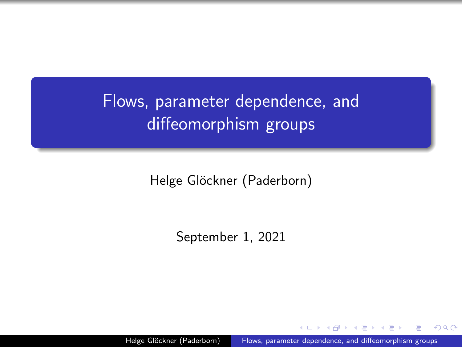# <span id="page-0-0"></span>Flows, parameter dependence, and diffeomorphism groups

Helge Glöckner (Paderborn)

September 1, 2021

Helge Glöckner (Paderborn) [Flows, parameter dependence, and diffeomorphism groups](#page-16-0)

つへへ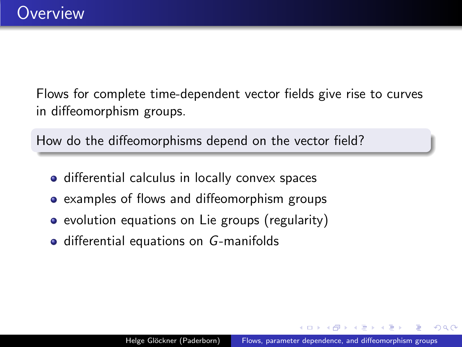Flows for complete time-dependent vector fields give rise to curves in diffeomorphism groups.

How do the diffeomorphisms depend on the vector field?

- **•** differential calculus in locally convex spaces
- examples of flows and diffeomorphism groups
- evolution equations on Lie groups (regularity)
- differential equations on G-manifolds

つへへ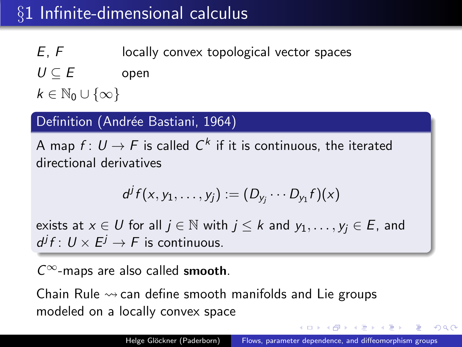## <span id="page-2-0"></span>§1 Infinite-dimensional calculus

 $E, F$  locally convex topological vector spaces

 $U \subseteq E$  open

 $k \in \mathbb{N}_0 \cup \{\infty\}$ 

#### Definition (Andrée Bastiani, 1964)

A map  $f\colon U\to F$  is called  $\mathsf{C}^k$  if it is continuous, the iterated directional derivatives

$$
d^jf(x,y_1,\ldots,y_j):=(D_{y_j}\cdots D_{y_1}f)(x)
$$

exists at  $x \in U$  for all  $j \in \mathbb{N}$  with  $j \leq k$  and  $y_1, \ldots, y_i \in E$ , and  $d^j f: U \times E^j \to F$  is continuous.

 $C^{\infty}$ -maps are also called smooth.

Chain Rule  $\rightsquigarrow$  can define smooth manifolds and Lie groups modeled on a locally convex space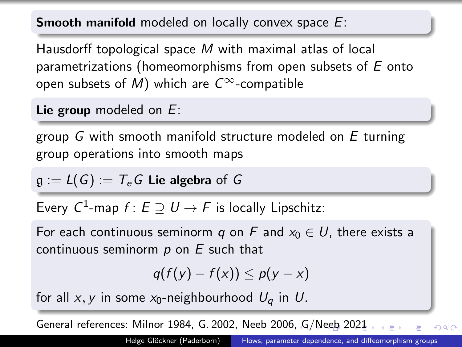<span id="page-3-0"></span>**Smooth manifold modeled on locally convex space E:** 

Hausdorff topological space M with maximal atlas of local parametrizations (homeomorphisms from open subsets of  $E$  onto open subsets of M) which are  $C^{\infty}$ -compatible

Lie group modeled on E:

group G with smooth manifold structure modeled on E turning group operations into smooth maps

 $\mathfrak{g} := L(G) := T_e G$  Lie algebra of G

Every  $C^1$ -map  $f\colon E\supseteq U\to F$  is locally Lipschitz:

For each continuous seminorm q on F and  $x_0 \in U$ , there exists a continuous seminorm  $p$  on  $E$  such that

$$
q(f(y)-f(x))\leq p(y-x)
$$

for all x, y in some  $x_0$ -neighbourhood  $U_a$  in U.

General references: Milnor 1984, G. 2002, Neeb 2006[, G](#page-2-0)[/N](#page-4-0)[ee](#page-2-0)[b](#page-3-0) [2](#page-4-0)[021](#page-0-0)

 $QQ$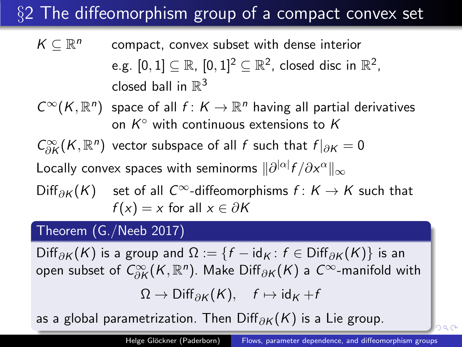# <span id="page-4-0"></span>§2 The diffeomorphism group of a compact convex set

 $K \subseteq \mathbb{R}^n$ compact, convex subset with dense interior e.g.  $[0,1]\subseteq \mathbb{R}$ ,  $[0,1]^2\subseteq \mathbb{R}^2$ , closed disc in  $\mathbb{R}^2$ , closed ball in  $\mathbb{R}^3$ 

 $C^{\infty}(K, \mathbb{R}^n)$  space of all  $f: K \to \mathbb{R}^n$  having all partial derivatives on  $K^{\circ}$  with continuous extensions to  $K$ 

 $C^\infty_{\partial K} (K,\mathbb{R}^n)$  vector subspace of all f such that  $f|_{\partial K} = 0$ 

Locally convex spaces with seminorms  $\|\partial^{|\alpha|} f/\partial x^\alpha\|_\infty$ 

Diff<sub>∂K</sub> $(K)$  set of all  $C^{\infty}$ -diffeomorphisms  $f: K \rightarrow K$  such that  $f(x) = x$  for all  $x \in \partial K$ 

#### Theorem (G./Neeb 2017)

Diff<sub>∂K</sub> (K) is a group and  $\Omega := \{f - id_K : f \in \text{Diff}_{\partial K}(K)\}\$ is an open subset of  $C^\infty_{\partial K} (K,\mathbb{R}^n)$ . Make Diff $_{\partial K} (K)$  a  $C^\infty$ -manifold with

$$
\Omega \to \mathrm{Diff}_{\partial K}(K), \quad f \mapsto \mathrm{id}_K + f
$$

as [a](#page-5-0)global parametrization[.](#page-0-0) Then Diff $_{\partial K}(K)$  is a [L](#page-3-0)[ie](#page-4-0) [gro](#page-0-0)[up](#page-16-0).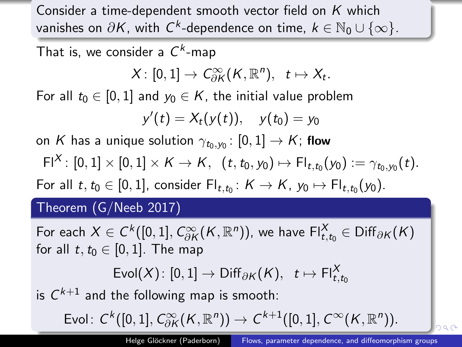<span id="page-5-0"></span>Consider a time-dependent smooth vector field on  $K$  which vanishes on  $\partial K$ , with  $\mathsf{C}^k$ -dependence on time,  $k\in\mathbb{N}_0\cup\{\infty\}.$ 

That is, we consider a  $C^k$ -map

$$
X\colon [0,1]\to \textit{C}^\infty_{\partial K}(K,\mathbb{R}^n),\ \ t\mapsto X_t.
$$

For all  $t_0 \in [0, 1]$  and  $y_0 \in K$ , the initial value problem

$$
y'(t) = X_t(y(t)), \quad y(t_0) = y_0
$$

on  $K$  has a unique solution  $\gamma_{t_0,y_0}\colon [0,1]\to K;$  flow

$$
Fl^X \colon [0,1] \times [0,1] \times K \to K, \ \ (t,t_0,y_0) \mapsto Fl_{t,t_0}(y_0) := \gamma_{t_0,y_0}(t).
$$

For all  $t, t_0 \in [0,1]$ , consider  $\mathsf{Fl}_{t,t_0} \colon K \to K$ ,  $y_0 \mapsto \mathsf{Fl}_{t,t_0}(y_0)$ .

#### Theorem (G/Neeb 2017)

For each  $X\in C^k([0,1],C^\infty_{\partial K} (K,\mathbb{R}^n))$ , we have  $\mathsf{Fl}^X_{t,t_0}\in\mathsf{Diff}_{\partial K}(K)$ for all  $t, t_0 \in [0, 1]$ . The map

$$
\mathsf{Eval}(X) \colon [0,1] \to \mathsf{Diff}_{\partial \mathcal{K}}(\mathcal{K}), \quad t \mapsto \mathsf{FI}_{t,t_0}^X
$$

is  $C^{k+1}$  and the following map is smooth:

Evol $\colon \mathcal{C}^k([0,1], C^\infty_{\partial K}(K,\mathbb{R}^n)) \rightarrow \mathcal{C}^{k+1}([0,1], \mathcal{C}^\infty(K,\mathbb{R}^n)).$  $\colon \mathcal{C}^k([0,1], C^\infty_{\partial K}(K,\mathbb{R}^n)) \rightarrow \mathcal{C}^{k+1}([0,1], \mathcal{C}^\infty(K,\mathbb{R}^n)).$  $\colon \mathcal{C}^k([0,1], C^\infty_{\partial K}(K,\mathbb{R}^n)) \rightarrow \mathcal{C}^{k+1}([0,1], \mathcal{C}^\infty(K,\mathbb{R}^n)).$  $\colon \mathcal{C}^k([0,1], C^\infty_{\partial K}(K,\mathbb{R}^n)) \rightarrow \mathcal{C}^{k+1}([0,1], \mathcal{C}^\infty(K,\mathbb{R}^n)).$  $\colon \mathcal{C}^k([0,1], C^\infty_{\partial K}(K,\mathbb{R}^n)) \rightarrow \mathcal{C}^{k+1}([0,1], \mathcal{C}^\infty(K,\mathbb{R}^n)).$  $\colon \mathcal{C}^k([0,1], C^\infty_{\partial K}(K,\mathbb{R}^n)) \rightarrow \mathcal{C}^{k+1}([0,1], \mathcal{C}^\infty(K,\mathbb{R}^n)).$  $\colon \mathcal{C}^k([0,1], C^\infty_{\partial K}(K,\mathbb{R}^n)) \rightarrow \mathcal{C}^{k+1}([0,1], \mathcal{C}^\infty(K,\mathbb{R}^n)).$  $\colon \mathcal{C}^k([0,1], C^\infty_{\partial K}(K,\mathbb{R}^n)) \rightarrow \mathcal{C}^{k+1}([0,1], \mathcal{C}^\infty(K,\mathbb{R}^n)).$  $\colon \mathcal{C}^k([0,1], C^\infty_{\partial K}(K,\mathbb{R}^n)) \rightarrow \mathcal{C}^{k+1}([0,1], \mathcal{C}^\infty(K,\mathbb{R}^n)).$  $\colon \mathcal{C}^k([0,1], C^\infty_{\partial K}(K,\mathbb{R}^n)) \rightarrow \mathcal{C}^{k+1}([0,1], \mathcal{C}^\infty(K,\mathbb{R}^n)).$  $\colon \mathcal{C}^k([0,1], C^\infty_{\partial K}(K,\mathbb{R}^n)) \rightarrow \mathcal{C}^{k+1}([0,1], \mathcal{C}^\infty(K,\mathbb{R}^n)).$  $\colon \mathcal{C}^k([0,1], C^\infty_{\partial K}(K,\mathbb{R}^n)) \rightarrow \mathcal{C}^{k+1}([0,1], \mathcal{C}^\infty(K,\mathbb{R}^n)).$  $\colon \mathcal{C}^k([0,1], C^\infty_{\partial K}(K,\mathbb{R}^n)) \rightarrow \mathcal{C}^{k+1}([0,1], \mathcal{C}^\infty(K,\mathbb{R}^n)).$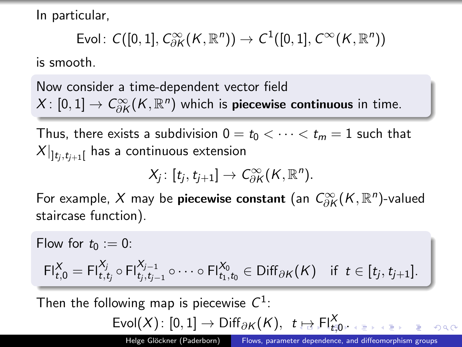<span id="page-6-0"></span>In particular,

$$
\mathsf{Evol}\colon\mathcal{C}([0,1],\mathcal{C}^\infty_{\partial K} (K,\mathbb{R}^n))\rightarrow \mathcal{C}^1([0,1],\mathcal{C}^\infty(K,\mathbb{R}^n))
$$

is smooth.

Now consider a time-dependent vector field  $X \colon [0,1] \to C^\infty_{\partial K}(K,{\mathbb R}^n)$  which is **piecewise continuous** in time.

Thus, there exists a subdivision  $0 = t_0 < \cdots < t_m = 1$  such that  $X|_{\mathbf{]t}_j,t_{j+1}[}$  has a continuous extension

$$
X_j\colon [t_j,t_{j+1}]\to C^\infty_{\partial K}(K,\mathbb{R}^n).
$$

For example,  $X$  may be **piecewise constant** (an  $C^\infty_{\partial K}(K,\mathbb{R}^n)$ -valued staircase function).

Flow for  $t_0 := 0$ :  $\mathsf{FI}^X_{t,0} = \mathsf{FI}^{X_j}_{t,t_j} \circ \mathsf{FI}^{X_{j-1}}_{t_j,t_{j-1}} \circ \cdots \circ \mathsf{FI}^{X_0}_{t_1,t_0} \in \mathsf{Diff}_{\partial \mathcal{K}}(\mathcal{K}) \quad \text{if } t \in [t_j,t_{j+1}].$ Then the following map is piecewise  $C^1$ :  $\mathsf{Eval}(X) \colon [0,1] \to \mathsf{Diff}_{\partial K}(K), \ \ t \mapsto \mathsf{Fl}^X_{t \sharp 0}.$  $\mathsf{Eval}(X) \colon [0,1] \to \mathsf{Diff}_{\partial K}(K), \ \ t \mapsto \mathsf{Fl}^X_{t \sharp 0}.$  $\mathsf{Eval}(X) \colon [0,1] \to \mathsf{Diff}_{\partial K}(K), \ \ t \mapsto \mathsf{Fl}^X_{t \sharp 0}.$  $\mathsf{Eval}(X) \colon [0,1] \to \mathsf{Diff}_{\partial K}(K), \ \ t \mapsto \mathsf{Fl}^X_{t \sharp 0}.$  $\mathsf{Eval}(X) \colon [0,1] \to \mathsf{Diff}_{\partial K}(K), \ \ t \mapsto \mathsf{Fl}^X_{t \sharp 0}.$  $\mathsf{Eval}(X) \colon [0,1] \to \mathsf{Diff}_{\partial K}(K), \ \ t \mapsto \mathsf{Fl}^X_{t \sharp 0}.$  $\mathsf{Eval}(X) \colon [0,1] \to \mathsf{Diff}_{\partial K}(K), \ \ t \mapsto \mathsf{Fl}^X_{t \sharp 0}.$  $\mathsf{Eval}(X) \colon [0,1] \to \mathsf{Diff}_{\partial K}(K), \ \ t \mapsto \mathsf{Fl}^X_{t \sharp 0}.$  $\mathsf{Eval}(X) \colon [0,1] \to \mathsf{Diff}_{\partial K}(K), \ \ t \mapsto \mathsf{Fl}^X_{t \sharp 0}.$ 

Helge Glöckner (Paderborn) [Flows, parameter dependence, and diffeomorphism groups](#page-0-0)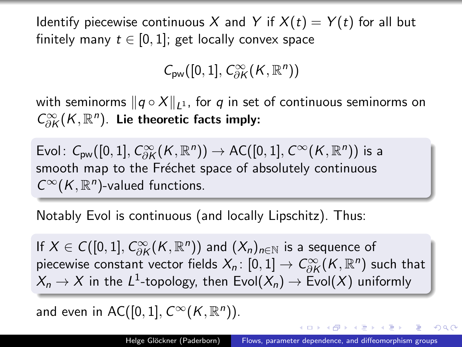<span id="page-7-0"></span>Identify piecewise continuous X and Y if  $X(t) = Y(t)$  for all but finitely many  $t \in [0,1]$ ; get locally convex space

$$
\mathcal{C}_{pw}([0,1],\mathcal{C}^\infty_{\partial K} (K,\mathbb{R}^n))
$$

with seminorms  $||q \circ X||_{1}$ , for q in set of continuous seminorms on  $C^\infty_{\partial K} (K,\mathbb{R}^n)$ . Lie theoretic facts imply:

Evol:  $C_{\sf pw}([0,1], C_{\partial K}^{\infty}(K,{\mathbb R}^{n})) \to {\sf AC}([0,1],C^{\infty}(K,{\mathbb R}^{n}))$  is a smooth map to the Fréchet space of absolutely continuous  $C^{\infty}(K,\mathbb{R}^n)$ -valued functions.

Notably Evol is continuous (and locally Lipschitz). Thus:

If  $X \in C([0,1], C^\infty_{\partial K}(K,\mathbb{R}^n))$  and  $(X_n)_{n \in \mathbb{N}}$  is a sequence of piecewise constant vector fields  $X_n \colon [0,1] \to C^\infty_{\partial K} (K, {\mathbb R}^n)$  such that  $X_n \to X$  in the  $L^1$ -topology, then  $\mathsf{Evol}(X_n) \to \mathsf{Evol}(X)$  uniformly

and even in AC([0, 1],  $C^{\infty}(K, \mathbb{R}^n)$ ).

**≮ロト ⊀何ト ⊀ ヨト ⊀ ヨト**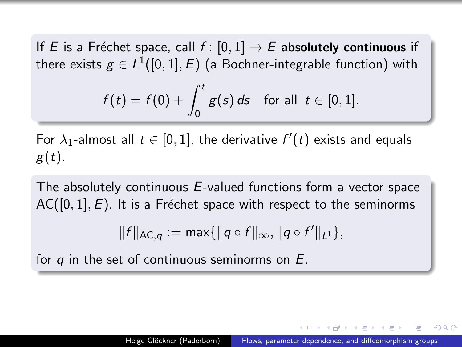If E is a Fréchet space, call  $f : [0, 1] \rightarrow E$  absolutely continuous if there exists  $g\in L^1([0,1],E)$  (a Bochner-integrable function) with

$$
f(t) = f(0) + \int_0^t g(s) \, ds \quad \text{for all} \ \ t \in [0,1].
$$

For  $\lambda_1$ -almost all  $t\in[0,1]$ , the derivative  $f'(t)$  exists and equals  $g(t)$ .

The absolutely continuous E-valued functions form a vector space  $AC([0, 1], E)$ . It is a Fréchet space with respect to the seminorms

$$
||f||_{AC,q} := \max\{||q \circ f||_{\infty}, ||q \circ f'||_{L^1}\},\
$$

for  $q$  in the set of continuous seminorms on  $E$ .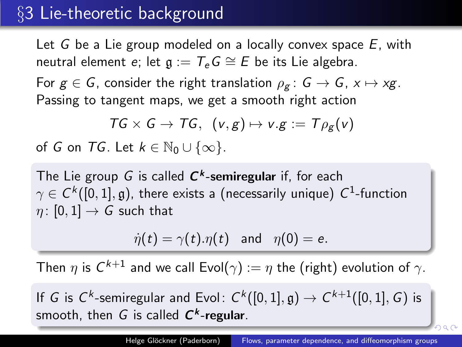### §3 Lie-theoretic background

Let  $G$  be a Lie group modeled on a locally convex space  $E$ , with neutral element e; let  $g := T_e G \cong E$  be its Lie algebra.

For  $g \in G$ , consider the right translation  $\rho_g : G \to G$ ,  $x \mapsto xg$ . Passing to tangent maps, we get a smooth right action

$$
TG \times G \to TG, \ \ (v,g) \mapsto v.g := T\rho_g(v)
$$

of G on TG. Let  $k \in \mathbb{N}_0 \cup \{\infty\}$ .

The Lie group  $G$  is called  $\boldsymbol{C^k}$ -semiregular if, for each  $\gamma \in \mathsf{C}^k([0,1],\mathfrak{g})$ , there exists a (necessarily unique)  $\mathsf{C}^1\text{-}\mathsf{function}$  $\eta$ : [0, 1]  $\rightarrow$  G such that

$$
\dot{\eta}(t) = \gamma(t).\eta(t) \text{ and } \eta(0) = e.
$$

Then  $\eta$  is  $\mathcal{C}^{k+1}$  and we call Evol $(\gamma) := \eta$  the (right) evolution of  $\gamma.$ 

If G is  $C^k$ -semiregular and Evol:  $C^k([0,1],\mathfrak{g})\rightarrow C^{k+1}([0,1],G)$  is smooth, then G is called  $C^k$ -regular.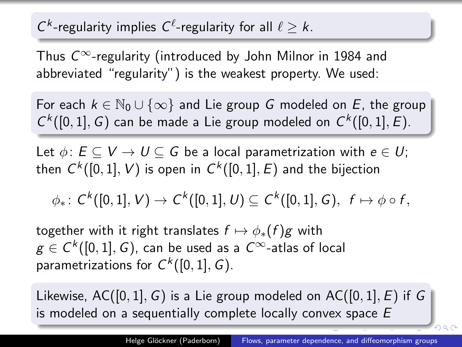### <span id="page-10-0"></span> $C^k$ -regularity implies  $C^{\ell}$ -regularity for all  $\ell \geq k$ .

Thus  $C^{\infty}$ -regularity (introduced by John Milnor in 1984 and abbreviated "regularity") is the weakest property. We used:

For each  $k \in \mathbb{N}_0 \cup \{\infty\}$  and Lie group G modeled on E, the group  $C<sup>k</sup>([0,1], G)$  can be made a Lie group modeled on  $C<sup>k</sup>([0,1], E)$ .

Let  $\phi: E \subseteq V \rightarrow U \subseteq G$  be a local parametrization with  $e \in U$ ; then  $\mathsf{C}^k([0,1],V)$  is open in  $\mathsf{C}^k([0,1],E)$  and the bijection

 $\phi_*\colon\thinspace \mathcal{C}^k([0,1],V)\to \mathcal{C}^k([0,1],U)\subseteq \mathcal{C}^k([0,1],\mathcal{G}),\ \ f\mapsto \phi\circ f,$ 

together with it right translates  $f \mapsto \phi_*(f)g$  with  $g\in \mathcal{C}^k([0,1],G)$ , can be used as a  $\mathcal{C}^{\infty}\textrm{-atlas}$  of local parametrizations for  $C^k([0,1], G)$ .

Likewise,  $AC([0,1], G)$  is a Lie group modeled on  $AC([0,1], E)$  if G is modeled on a sequentially complete locally convex space E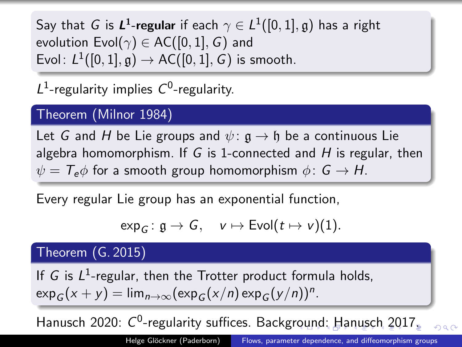<span id="page-11-0"></span>Say that  $G$  is  $\boldsymbol{L^1}$ -regular if each  $\gamma \in L^1([0,1],\mathfrak{g})$  has a right evolution Evol $(\gamma) \in AC([0,1], G)$  and Evol:  $L^1([0,1],\mathfrak{g})\rightarrow\mathsf{AC}([0,1],\mathsf{G})$  is smooth.

 $L^1$ -regularity implies  $C^0$ -regularity.

#### Theorem (Milnor 1984)

Let G and H be Lie groups and  $\psi: \mathfrak{g} \to \mathfrak{h}$  be a continuous Lie algebra homomorphism. If G is 1-connected and  $H$  is regular, then  $\psi = T_e \phi$  for a smooth group homomorphism  $\phi : G \to H$ .

Every regular Lie group has an exponential function,

$$
\exp_G\colon \mathfrak{g}\to \mathsf{G},\quad v\mapsto \text{Evol}(t\mapsto v)(1).
$$

#### Theorem (G. 2015)

If  $G$  is  $L^1$ -regular, then the Trotter product formula holds,  $\exp_G(x+y) = \lim_{n\to\infty} (\exp_G(x/n) \exp_G(y/n))^n$ .

Hanusch 2020[:](#page-10-0)  $C^0$ -regularity suffices. Backg[rou](#page-10-0)[nd](#page-12-0): [H](#page-11-0)[a](#page-12-0)[nu](#page-0-0)[sc](#page-16-0)[h](#page-0-0) [20](#page-16-0)[17.](#page-0-0)  $\Omega$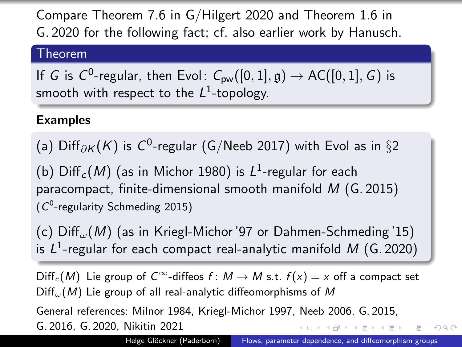<span id="page-12-0"></span>Compare Theorem 7.6 in G/Hilgert 2020 and Theorem 1.6 in G. 2020 for the following fact; cf. also earlier work by Hanusch.

#### Theorem

If  $G$  is  $C^0$ -regular, then Evol $\colon C_{\sf pw}([0,1],\mathfrak{g}) \to {\sf AC}([0,1],G)$  is smooth with respect to the  $L^1$ -topology.

#### Examples

(a) Diff $_{\partial K}(K)$  is  $C^0$ -regular (G/Neeb 2017) with Evol as in  $\S 2$ 

(b)  $\mathrm{Diff}_c(M)$  (as in Michor 1980) is  $L^1$ -regular for each paracompact, finite-dimensional smooth manifold M (G. 2015)  $(C<sup>0</sup>$ -regularity Schmeding 2015)

(c)  $Diff_{\omega}(M)$  (as in Kriegl-Michor '97 or Dahmen-Schmeding '15) is  $L^1$ -regular for each compact real-analytic manifold M (G. 2020)

 $\text{Diff}_c(M)$  Lie group of  $C^{\infty}$ -diffeos  $f: M \to M$  s.t.  $f(x) = x$  off a compact set  $Diff_{\omega}(M)$  Lie group of all real-analytic diffeomorphisms of M

General references: Milnor 1984, Kriegl-Michor 1997, Neeb 2006, G. 2015, G. 2016, G. 2020, Nikitin 2021 御き メミメ メミメー

Helge Glöckner (Paderborn) [Flows, parameter dependence, and diffeomorphism groups](#page-0-0)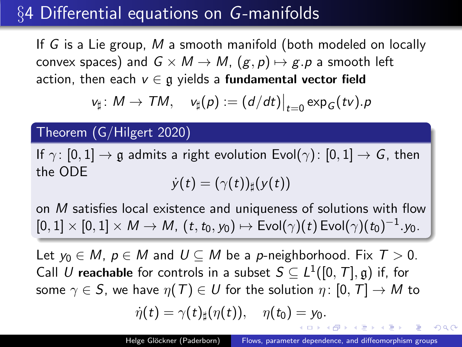### §4 Differential equations on G-manifolds

If G is a Lie group, M a smooth manifold (both modeled on locally convex spaces) and  $G \times M \rightarrow M$ ,  $(g, p) \mapsto g.p$  a smooth left action, then each  $v \in \mathfrak{g}$  yields a fundamental vector field

$$
v_{\sharp} \colon M \to \mathcal{T}M, \quad v_{\sharp}(p) := (d/dt)|_{t=0} \exp_{G}(tv).p
$$

Theorem (G/Hilgert 2020)

If  $\gamma: [0, 1] \to \mathfrak{g}$  admits a right evolution Evol( $\gamma$ ):  $[0, 1] \to G$ , then the ODE  $\dot{y}(t) = (\gamma(t))_{\text{H}}(y(t))$ 

on M satisfies local existence and uniqueness of solutions with flow  $[0,1]\times[0,1]\times{\sf M}\to{\sf M},\,(t,t_0,y_0)\mapsto{\sf Evol}(\gamma)(t)\,{\sf Evol}(\gamma)(t_0)^{-1}.y_0.$ 

Let  $y_0 \in M$ ,  $p \in M$  and  $U \subseteq M$  be a p-neighborhood. Fix  $T > 0$ . Call U reachable for controls in a subset  $S \subseteq L^1([0, T], \mathfrak{g})$  if, for some  $\gamma \in S$ , we have  $\eta(T) \in U$  for the solution  $\eta: [0, T] \to M$  to

$$
\dot{\eta}(t)=\gamma(t)_\sharp(\eta(t)),\quad \eta(t_0)=y_0.
$$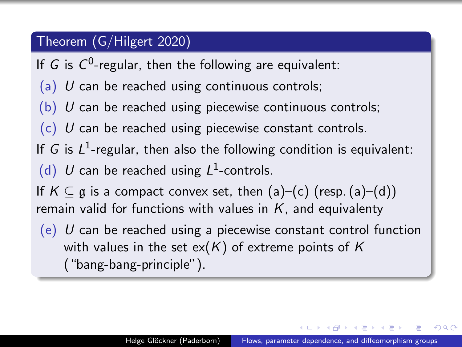#### Theorem (G/Hilgert 2020)

If  $G$  is  $C^0$ -regular, then the following are equivalent:

- (a)  $U$  can be reached using continuous controls;
- $(b)$  U can be reached using piecewise continuous controls;
- $(c)$  U can be reached using piecewise constant controls.
- If G is  $L^1$ -regular, then also the following condition is equivalent:
- (d) U can be reached using  $L^1$ -controls.

If  $K \subset \mathfrak{g}$  is a compact convex set, then (a)–(c) (resp. (a)–(d)) remain valid for functions with values in  $K$ , and equivalenty

 $(e)$  U can be reached using a piecewise constant control function with values in the set  $ex(K)$  of extreme points of K ("bang-bang-principle").

オート オート オート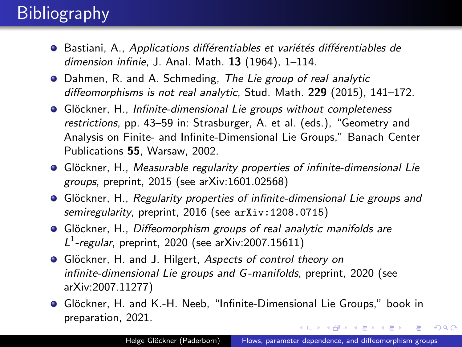# **Bibliography**

- · Bastiani, A., Applications différentiables et variétés différentiables de dimension infinie, J. Anal. Math. 13 (1964), 1–114.
- Dahmen, R. and A. Schmeding, The Lie group of real analytic diffeomorphisms is not real analytic, Stud. Math. 229 (2015), 141-172.
- Glöckner, H., Infinite-dimensional Lie groups without completeness restrictions, pp. 43–59 in: Strasburger, A. et al. (eds.), "Geometry and Analysis on Finite- and Infinite-Dimensional Lie Groups," Banach Center Publications 55, Warsaw, 2002.
- Glöckner, H., Measurable regularity properties of infinite-dimensional Lie groups, preprint, 2015 (see arXiv:1601.02568)
- Glöckner, H., Regularity properties of infinite-dimensional Lie groups and semiregularity, preprint, 2016 (see arXiv: 1208.0715)
- Glöckner, H., Diffeomorphism groups of real analytic manifolds are  $L^1$ -regular, preprint, 2020 (see arXiv:2007.15611)
- Glöckner, H. and J. Hilgert, Aspects of control theory on infinite-dimensional Lie groups and G-manifolds, preprint, 2020 (see arXiv:2007.11277)
- Glöckner, H. and K.-H. Neeb, "Infinite-Dimensional Lie Groups," book in preparation, 2021. **≮ロト (何) (日) (日)**

 $2990$ 

 $\equiv$